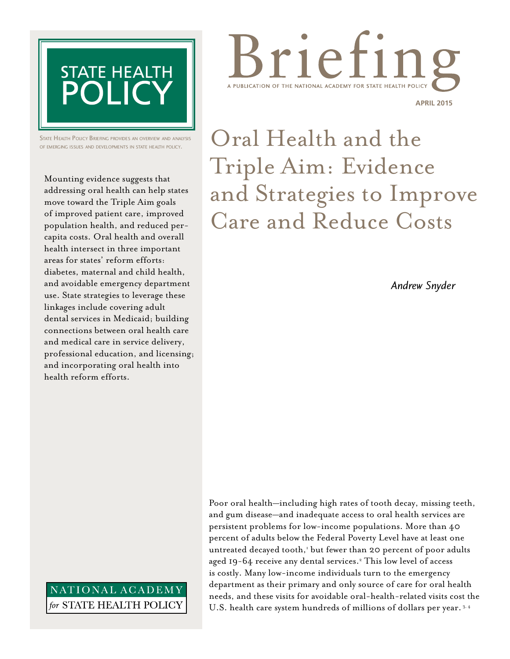

State Health Policy Briefing provides an overview and analysis of emerging issues and developments in state health policy.

Mounting evidence suggests that addressing oral health can help states move toward the Triple Aim goals of improved patient care, improved population health, and reduced percapita costs. Oral health and overall health intersect in three important areas for states' reform efforts: diabetes, maternal and child health, and avoidable emergency department use. State strategies to leverage these linkages include covering adult dental services in Medicaid; building connections between oral health care and medical care in service delivery, professional education, and licensing; and incorporating oral health into health reform efforts.

## NATIONAL ACADEMY for STATE HEALTH POLICY



Oral Health and the Triple Aim: Evidence and Strategies to Improve Care and Reduce Costs

*Andrew Snyder*

Poor oral health—including high rates of tooth decay, missing teeth, and gum disease—and inadequate access to oral health services are persistent problems for low-income populations. More than 40 percent of adults below the Federal Poverty Level have at least one untreated decayed tooth,<sup>1</sup> but fewer than 20 percent of poor adults aged 19-64 receive any dental services.<sup>2</sup> This low level of access is costly. Many low-income individuals turn to the emergency department as their primary and only source of care for oral health needs, and these visits for avoidable oral-health-related visits cost the U.S. health care system hundreds of millions of dollars per year. 3, 4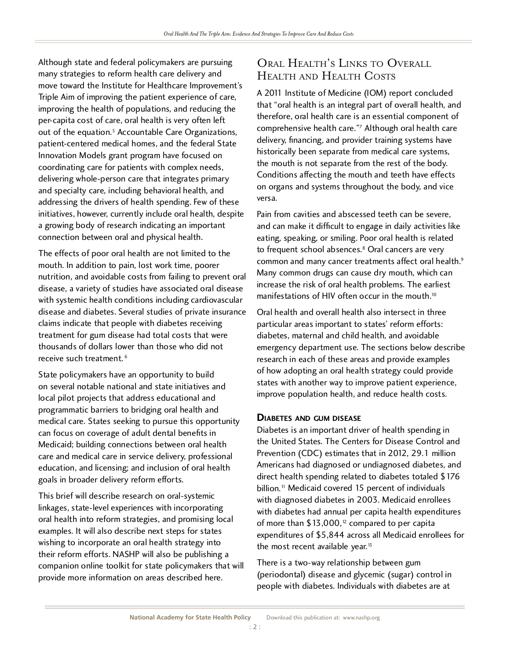Although state and federal policymakers are pursuing<br>many strategies to reform health care delivery and move toward the Institute for Healthcare Improvement's Triple Aim of improving the patient experience of care. improving the health of populations, and reducing the per-capita cost of care, oral health is very often left per-capita cost of care, oral health is very often left out of the equation.5 Accountable Care Organizations, patient-centered medical homes, and the federal State Innovation Models grant program have focused on coordinating care for patients with complex needs, delivering whole-person care that integrates primary and specialty care, including behavioral health, and addressing the drivers of health spending. Few of these initiatives, however, currently include oral health, despite a growing body of research indicating an important a growing body of research indicating an important connection between oral and physical health.

The effects of poor oral health are not limited to the mouth. In addition to pain, lost work time, poorer nutrition, and avoidable costs from failing to prevent oral disease, a variety of studies have associated oral disease with systemic health conditions including cardiovascular disease and diabetes. Several studies of private insurance claims indicate that people with diabetes receiving treatment for gum disease had total costs that were thousands of dollars lower than those who did not thousands of dollars lower than those who did not receive such treatment.<sup>0</sup>

State policymakers have an opportunity to build<br>on several notable national and state initiatives and local pilot projects that address educational and programmatic barriers to bridging oral health and programmatic barriers to bridging oral health and medical care. States seeking to pursue this opportunity can focus on coverage of adult dental benefits in care and medical care in service delivery, professional education, and licensing; and inclusion of oral health education, and licensing; and inclusion of oral health goals in broader delivery reform efforts.

This brief will describe research on oral-systemic<br>linkages, state-level experiences with incorporating oral health into reform strategies, and promising local examples. It will also describe next steps for states wishing to incorporate an oral health strategy into their reform efforts. NASHP will also be publishing a companion online toolkit for state policymakers that will companion online toolkit for state policymakers that will provide more information on areas described here.

## Oral Health's Links to Overall Health and Health Costs

A 2011 Institute of Medicine (IOM) report concluded<br>that "oral health is an integral part of overall health, and therefore, oral health care is an essential component of therefore, oral health care is an essential component of comprehensive health care. "Although oral health care"<br>"The care of the care is a care of the care of the care of the care of the care of the care of the care of the delivery, financing, and provider training systems have<br>historically been separate from medical care systems, the mouth is not separate from the rest of the body. Conditions affecting the mouth and teeth have effects Conditions affecting the mouth and teeth have effects on organs and systems throughout the body, and vice versa.

Pain from cavities and abscessed teeth can be severe,<br>and can make it difficult to engage in daily activities like eating, speaking, or smiling. Poor oral health is related eating, speaking, or smiling. Poor oral health is related to frequent school absences.<sup>8</sup> Oral cancers are very common and many cancer treatments affect oral health.<sup>9</sup><br>Many common drugs can cause dry mouth, which can increase the risk of oral health problems. The earliest increase the risk of oral health problems. The earliest manifestations of HIV often occur in the mouth. $\degree$ 

Oral health and overall health also intersect in three particular areas important to states' reform efforts: diabetes, maternal and child health, and avoidable emergency department use. The sections below describe research in each of these areas and provide examples of how adopting an oral health strategy could provide states with another way to improve patient experience, states with another way to improve patient experience, improve population health, and reduce health costs.

**DIABETES AND GUM DISEASE**<br>Diabetes is an important driver of health spending in the United States. The Centers for Disease Control and Prevention (CDC) estimates that in 2012, 29.1 million Americans had diagnosed or undiagnosed diabetes, and direct health spending related to diabetes totaled \$176 direct health spending related to diabetes totaled  $\phi$ 176 billion.11 Medicaid covered 15 percent of individuals with diagnosed diabetes in 2003. Medicaid enrollees with diabetes had annual per capita health experientures of more than \$13,000,12 compared to per capita expenditures of \$5,844 across all Medicaid enrollees for the most recent available year.<sup>13</sup>

There is a two-way relationship between gum<br>(periodontal) disease and glycemic (sugar) control in (periodontal) disease and glycemic (sugar) control in people with diabetes. Individuals with diabetes are at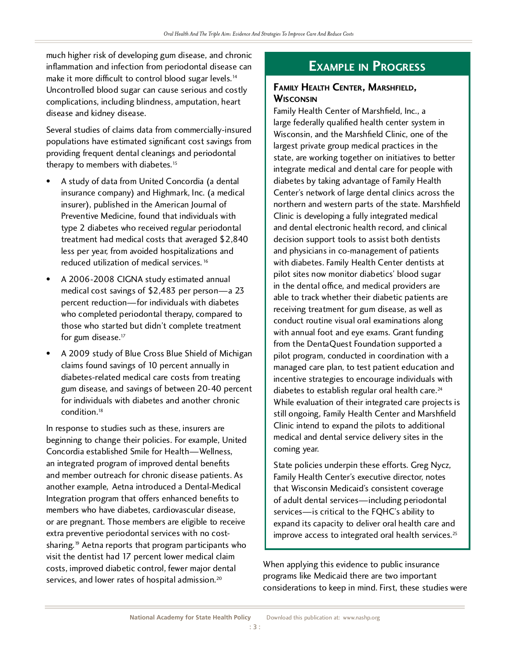much higher risk of developing gum disease, and chronic inflammation and infection from periodontal disease can make it more difficult to control blood sugar levels.''<br>'' Uncontrolled blood sugar can cause serious and costly complications, including blindness, amputation, heart disease and kidney disease.

Several studies of claims data from commercially-insured providing frequent dental cleanings and periodontal providing frequent dental cleanings and periodontal therapy to members with diabetes.<sup>15</sup>

- A study of data from United Concordia (a dental insurance company) and Highmark, Inc. (a medical insurer), published in the American Journal of Preventive Medicine, found that individuals with type 2 diabetes who received regular periodontal treatment had medical costs that averaged \$2,840 less per year, from avoided hospitalizations and less per year, from avoided hospitalizations and reduced utilization of medical services.<sup>16</sup>
- A 2006-2008 CIGNA study estimated annual<br>medical cost savings of \$2,483 per person—a 23 percent reduction-for individuals with diabetes who completed periodontal therapy, compared to who completed periodontal therapy, compared to those who started but didn't complete treatment for gum disease.<sup>17</sup>
- A 2009 study of Blue Cross Blue Shield of Michigan claims found savings of 10 percent annually in diabetes-related medical care costs from treating gum disease, and savings of between 20-40 percent for individuals with diabetes and another chronic for individuals with diabetes and another chronic condition.<sup>18</sup>

In response to studies such as these, insurers are<br>beginning to change their policies. For example, United Concordia established Smile for Health-Wellness, an integrated program of improved dental benefits and member outreach for chronic disease patients. As another example, Aetna introduced a Dental-Medical Integration program that offers enhanced benefits to members who have diabetes, cardiovascular disease. or are pregnant. Those members are eligible to receive extra preventive periodontal services with no costextra preventive periodontal services with no costsharing.<sup>19</sup> Aetna reports that program participants who visit the dentist had 17 percent lower medical claim costs, improved diabetic control, fewer major dental  $s$ ervices, and lower rates of hospital admission. $\sim$ 

## **Example in Progress**

## **Family Health Center, Marshfield,**

Family Health Center of Marshfield, Inc., a large federally qualified health center system in Wisconsin, and the Marshfield Clinic, one of the largest private group medical practices in the state, are working together on initiatives to better integrate medical and dental care for people with diabetes by taking advantage of Family Health Center's network of large dental clinics across the northern and western parts of the state. Marshfield Clinic is developing a fully integrated medical and dental electronic health record, and clinical decision support tools to assist both dentists and physicians in co-management of patients with diabetes. Family Health Center dentists at pilot sites now monitor diabetics' blood sugar in the dental office, and medical providers are able to track whether their diabetic patients are receiving treatment for gum disease, as well as conduct routine visual oral examinations along with annual foot and eye exams. Grant funding from the DentaQuest Foundation supported a pilot program, conducted in coordination with a managed care plan, to test patient education and incentive strategies to encourage individuals with incentive strategies to encourage individuals with diabetes to establish regular oral health care.<sup>24</sup> While evaluation of their integrated care projects is still ongoing, Family Health Center and Marshfield Clinic intend to expand the pilots to additional Clinic intend to expand the pilots to additional medical and dental service delivery sites in the coming year.

State policies underpin these efforts. Greg Nycz, that Wisconsin Medicaid's consistent coverage of adult dental services—including periodontal services—is critical to the FQHC's ability to expand its capacity to deliver oral health care and expand its capacity to deliver oral health care and improve access to integrated oral health services.  $\mathbb{S}$ 

When applying this evidence to public insurance<br>programs like Medicaid there are two important programs like Medicaid there are two important considerations to keep in mind. First, these studies were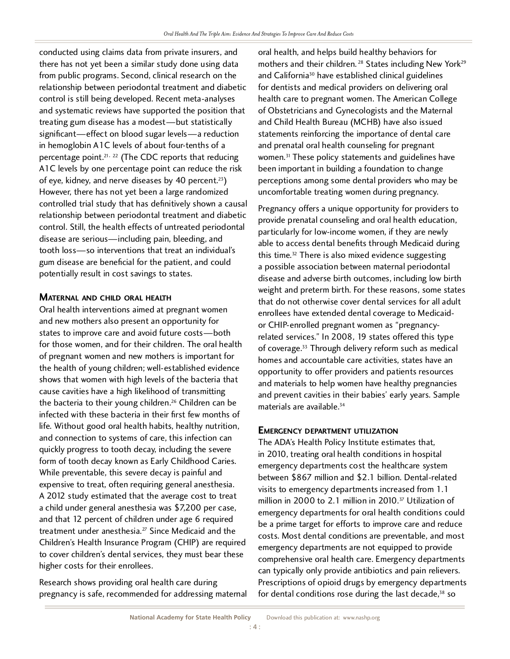conducted using claims data from private insurers, and from public programs. Second, clinical research on the relationship between periodontal treatment and diabetic control is still being developed. Recent meta-analyses and systematic reviews have supported the position that treating gum disease has a modest—but statistically significant—effect on blood sugar levels—a reduction in hemoglobin A1C levels of about four-tenths of a in hemoglobin ATC levels of about four-tenths of a percentage point.<sup>21, 22</sup> (The CDC reports that reducing and reducing and reducing and reducing and reducing and reducing and reducing and reducing and reducing and reducing and reducing and reducing and reducing and reduc A1C levels by one percentage point can reduce the risk of eye, kidney, and nerve diseases by 40 percent.23) However, there has not yet been a large randomized<br>controlled trial study that has definitively shown a causal relationship between periodontal treatment and diabetic relationship between periodontal treatment and diabetic control. Still, the health effects of untreated periodontal disease are serious—including pain, bleeding, and<br>tooth loss—so interventions that treat an individual's gum disease are beneficial for the patient, and could gum disease are beneficial for the patient, and could potentially result in cost savings to states.

**MATERNAL AND CHILD ORAL HEALTH**<br>Oral health interventions aimed at pregnant women and new mothers also present an opportunity for states to improve care and avoid future costs—both for those women, and for their children. The oral health for those women, and for their children. The oral health of pregnant women and new mothers is important for the health of young children; well-established evidence shows that women with high levels of the bacteria that cause cavities have a high likelihood of transmitting the bacteria to their young children.<sup>26</sup> Children can be<br>20 Children children children.<sup>26</sup> Children can be infected with these bacteria in their first few months of life. Without good oral health habits, healthy nutrition, life. Without good oral health habits, healthy nutrition, and connection to systems of care, this infection can quickly progress to tooth decay, including the severe form of tooth decay known as Early Childhood Caries. While preventable, this severe decay is painful and expensive to treat, often requiring general anesthesia. A 2012 study estimated that the average cost to treat A 2012 study estimated that the average cost to treat a child under general anesthesia was  $\frac{1}{2}$ , 200 per case, and that 12 percent of children under age 6 required treatment under anesthesia.27 Since Medicaid and the Children's Health Insurance Program (CHIP) are required to cover children's dental services, they must bear these higher costs for their enrollees.

Research shows providing oral health care during pregnancy is safe, recommended for addressing maternal

oral health, and helps build healthy behaviors for mothers and their children.<sup>28</sup> States including New York<sup>29</sup> and California<sup>30</sup> have established clinical guidelines<br>for dentists and medical providers on delivering oral health care to pregnant women. The American College of Obstetricians and Gynecologists and the Maternal and Child Health Bureau (MCHB) have also issued statements reinforcing the importance of dental care and prenatal oral health counseling for pregnant and prenatal oral health counseling for pregnant women.<sup>31</sup> These policy statements and guidelines have been important in building a foundation to change perceptions among some dental providers who may be uncomfortable treating women during pregnancy.

Pregnancy offers a unique opportunity for providers to<br>provide prenatal counseling and oral health education, particularly for low-income women, if they are newly particularly for low-income women, if they are newly able to access dental benefits through Medicaid during this time.<sup>32</sup> There is also mixed evidence suggesting<br>a possible association between maternal periodontal disease and adverse birth outcomes, including low birth weight and preterm birth. For these reasons, some states that do not otherwise cover dental services for all adult enrollees have extended dental coverage to Medicaidor CHIP-enrolled pregnant women as "pregnancyrelated services." In 2008, 19 states offered this type related services. The 2000, 19 states offered this type of coverage.<sup>33</sup> Through delivery reform such as medical<br>I homes and accountable care activities, states have an<br>opportunity to offer providers and patients resources and materials to help women have healthy pregnancies and materials to help women have healthy pregnancies and prevent cavities in their babies' early years. Sample materials are available.<sup>34</sup>

**EMERGENCY DEPARTMENT UTILIZATION**<br>The ADA's Health Policy Institute estimates that, in 2010, treating oral health conditions in hospital emergency departments cost the healthcare system between  $$867$  million and  $$2.1$  billion. Dental-related visits to emergency departments increased from 1.1 visits to emergency departments increased from 1.1 million in 2000 to 2.1 million in 2010.<sup>37</sup> Utilization of emergency departments for oral health conditions could<br>be a prime target for efforts to improve care and reduce be a prime target for efforts to improve care and reduce costs. Most dental conditions are preventable, and most emergency departments are not equipped to provide can typically only provide antibiotics and pain relievers. can typically only provide antibiotics and pain relievers. Prescriptions of opioid drugs by emergency departments for dental conditions rose during the last decade, $38$  so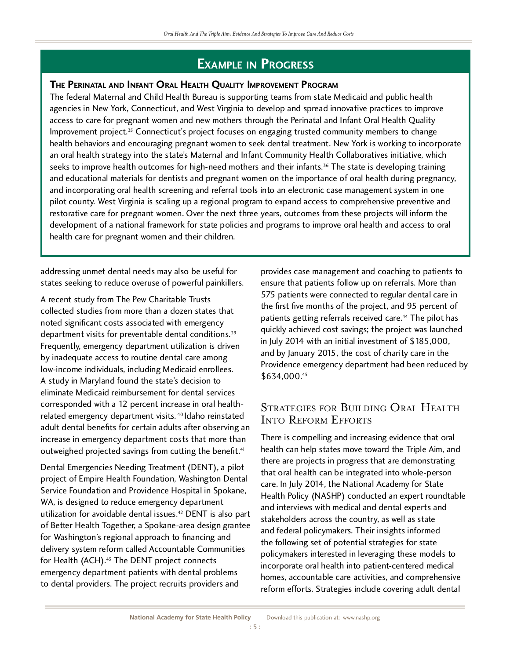# **EXAMPLE IN PROGRESS**<br>The Perinatal and Infant Oral Health Quality Improvement Program

The federal Maternal and Child Health Bureau is supporting teams from state Medicaid and public health agencies in New York, Connecticut, and West Virginia to develop and spread innovative practices to improve access to care for pregnant women and new mothers through the Perinatal and Infant Oral Health Quality access to care for pregnant women and new mothers through the Perinatal and Infant Oral Health Quality Improvement project.35 Connecticut's project focuses on engaging trusted community members to change health behaviors and encouraging pregnant women to seek dental treatment. New York is working to incorporate<br>an oral health strategy into the state's Maternal and Infant Community Health Collaboratives initiative, which an oral health strategy into the state's Maternal and Infant Community Health Collaboratives initiative, which seeks to improve health outcomes for high-need mothers and their infants.36 The state is developing training and educational materials for dentists and pregnant women on the importance of oral health during pregnancy, and incorporating oral health screening and referral tools into an electronic case management system in one pilot county. West Virginia is scaling up a regional program to expand access to comprehensive preventive and restorative care for pregnant women. Over the next three years, outcomes from these projects will inform the restorative care for pregnant women. Over the next three years, outcomes from these projects will inform the development of a national framework for state policies and programs to improve oral health and access to oral health care for pregnant women and their children.

addressing unmet dental needs may also be useful for states seeking to reduce overuse of powerful painkillers.

A recent study from The Pew Charitable Trusts noted significant costs associated with emergency noted significant costs associated with emergency department visits for preventable dental conditions.<sup>39</sup> Frequently, emergency department utilization is driven low-income individuals, including Medicaid enrollees. A study in Maryland found the state's decision to eliminate Medicaid reimbursement for dental services corresponded with a 12 percent increase in oral healthcorresponded with a 12 percent increase in oral healthrelated emergency department visits. <sup>4</sup> Idaho reinstated<br>Albert Liberald Constantine for the Constantine of the Constantine of the Constantine of the Constantine of the adult dental benefits for certain adults after observing an<br>increase in emergency department costs that more than increase in emergency department costs that more than outweighed projected savings from cutting the benefit.41

Dental Emergencies Needing Treatment (DENT), a pilot project of Empire Health Foundation, Washington Dental Service Foundation and Providence Hospital in Spokane, WA, is designed to reduce emergency department utilization for avoidable dental issues. $42$  DENT is also part of Better Health Together, a Spokane-area design grantee<br>for Washington's regional approach to financing and delivery system reform called Accountable Communities delivery system reform called Accountable Communities for Health (ACH).<sup>33</sup> The DENT project connects emergency department patients with dental problems to dental providers. The project recruits providers and

provides case management and coaching to patients to 575 patients were connected to regular dental care in the first five months of the project, and 95 percent of the first five months of the project, and 95 percent of patients getting referrals received care.<sup>44</sup> The pilot has quickly achieved cost savings; the project was launched<br>in July 2014 with an initial investment of \$185,000, and by January 2015, the cost of charity care in the and by January 2015, the cost of charity care in the Providence emergency department had been reduced by<br>COLOO 45 \$634,000.45

## STRATEGIES FOR BUILDING ORAL HEALTH Into Reform Efforts

There is compelling and increasing evidence that oral health can help states move toward the Triple Aim, and there are projects in progress that are demonstrating that oral health can be integrated into whole-person care. In July 2014, the National Academy for State care. In July 2014, the National Academy for State Health Policy (NASHP) conducted an expert roundtable and interviews with medical and dental experts and<br>stakeholders across the country, as well as state and federal policymakers. Their insights informed the following set of potential strategies for state policymakers interested in leveraging these models to incorporate oral health into patient-centered medical homes, accountable care activities, and comprehensive homes, accountable care activities, and comprehensive reform efforts. Strategies include covering adult dental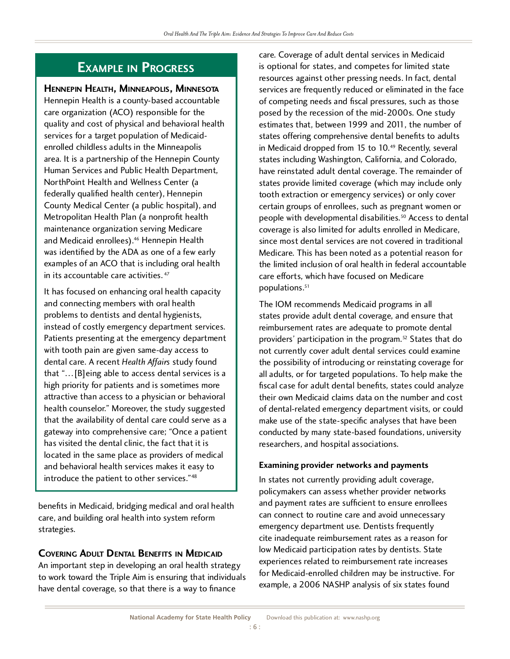# **Example in Progress**

Hennepin Health is a county-based accountable care organization (ACO) responsible for the quality and cost of physical and behavioral health services for a target population of Medicaidenrolled childless adults in the Minneapolis area. It is a partnership of the Hennepin County Human Services and Public Health Department, NorthPoint Health and Wellness Center (a federally qualified health center), Hennepin County Medical Center (a public hospital), and Metropolitan Health Plan (a nonprofit health maintenance organization serving Medicare maintenance organization serving Medicare and Medicald enrollees).<sup>46</sup> Hennepin Health was identified by the ADA as one of a few early  $\frac{1}{2}$  cxamples of an ACO that is including oral health in its accountable care activities. 47

It has focused on enhancing oral health capacity<br>and connecting members with oral health problems to dentists and dental hygienists, instead of costly emergency department services. instead of costly emergency department services. Patients presenting at the emergency department with tooth pain are given same-day access to<br>dental care. A recent Health Affairs study found that "... [B]eing able to access dental services is a high priority for patients and is sometimes more attractive than access to a physician or behavioral health counselor." Moreover, the study suggested that the availability of dental care could serve as a gateway into comprehensive care; "Once a patient has visited the dental clinic, the fact that it is located in the same place as providers of medical and behavioral health services makes it easy to and behavioral health services makes it easy to introduce the patient to other services.  $\mathbb{S}$ 

benefits in Medicaid, bridging medical and oral health care, and building oral health into system reform strategies.

**COVERING ADULT DENTAL BENEFITS IN MEDICAID**<br>An important step in developing an oral health strategy to work toward the Triple Aim is ensuring that individuals to work toward the Triple Aim is ensuring that individuals have dental coverage, so that there is a way to finance

care. Coverage of adult dental services in Medicaid resources against other pressing needs. In fact, dental services are frequently reduced or eliminated in the face of competing needs and fiscal pressures, such as those posed by the recession of the mid-2000s. One study estimates that, between 1999 and 2011, the number of states offering comprehensive dental benefits to adults states offering comprehensive dental benefits to adults in Medicaid dropped from 15 to 10.49 Recently, several states including Washington, California, and Colorado, states provide limited coverage (which may include only tooth extraction or emergency services) or only cover certain groups of enrollees, such as pregnant women or certain groups of enrollees, such as pregnant women or people with developmental disabilities.50 Access to dental coverage is also limited for adults enrolled in Medicare, Medicare. This has been noted as a potential reason for the limited inclusion of oral health in federal accountable the limited inclusion of oral health in federal accountable care efforts, which have focused on Medicare populations.<sup>51</sup>

The TOM recommends Medicald programs in all states provide adult dental coverage, and ensure that reimbursement rates are adequate to promote dental providers' participation in the program.52 States that do not currently cover adult dental services could examine<br>the possibility of introducing or reinstating coverage for all adults, or for targeted populations. To help make the fiscal case for adult dental benefits, states could analyze their own Medicaid claims data on the number and cost of dental-related emergency department visits, or could make use of the state-specific analyses that have been conducted by many state-based foundations, university conducted by many state-based foundations, university researchers, and hospital associations.

## **Examining provider networks and payments**

In states not currently providing adult coverage,<br>policymakers can assess whether provider networks and payment rates are sufficient to ensure enrollees can connect to routine care and avoid unnecessary emergency department use. Dentists frequently cite inadequate reimbursement rates as a reason for low Medicaid participation rates by dentists. State experiences related to reimbursement rate increases for Medicaid-enrolled children may be instructive. For for Medicaid-enrolled children may be instructive. For example, a 2006 NASHP analysis of six states found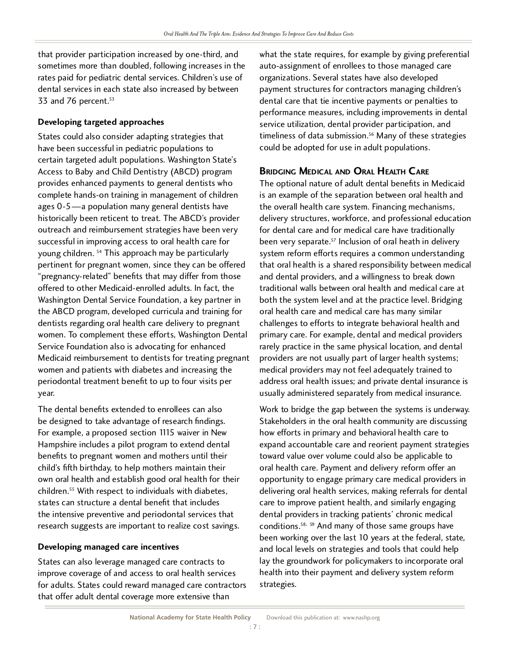that provider participation increased by one-third, and rates paid for pediatric dental services. Children's use of rates paid for pediatric dental services. Children's use of dental services in each state also increased by between 33 and 76 percent.<sup>53</sup>

**Developing targeted approaches**<br>States could also consider adapting strategies that have been successful in pediatric populations to certain targeted adult populations. Washington State's Access to Baby and Child Dentistry (ABCD) program provides enhanced payments to general dentists who complete hands-on training in management of children ages  $0-5$ —a population many general dentists have historically been reticent to treat. The ABCD's provider outreach and reimbursement strategies have been very successful in improving access to oral health care for succession in improving access to oral health care for young children. 54 This approach may be particularly pertinent for pregnant women, since they can be offered<br>"pregnancy-related" benefits that may differ from those offered to other Medicaid-enrolled adults. In fact, the Washington Dental Service Foundation, a key partner in the ABCD program, developed curricula and training for dentists regarding oral health care delivery to pregnant women. To complement these efforts, Washington Dental Service Foundation also is advocating for enhanced Medicaid reimbursement to dentists for treating pregnant women and patients with diabetes and increasing the women and patients with diabetes and increasing the periodontal treatment benefit to up to four visits per year.

The dental benefits extended to enrollees can also<br>be designed to take advantage of research findings. For example, a proposed section 1115 waiver in New Hampshire includes a pilot program to extend dental benefits to pregnant women and mothers until their child's fifth birthday, to help mothers maintain their own oral health and establish good oral health for their own oral health and establish good oral health for their children.55 With respect to individuals with diabetes, states can structure a dental benefit that includes<br>the intensive preventive and periodontal services that the intensive preventive and periodontal services that research suggests are important to realize cost savings.

**Developing managed care incentives**<br>States can also leverage managed care contracts to improve coverage of and access to oral health services for adults. States could reward managed care contractors for adults. States could reward managed care contractors that offer adult dental coverage more extensive than

what the state requires, for example by giving preferential auto-assignment of enrollees to those managed care organizations. Several states have also developed payment structures for contractors managing children's dental care that tie incentive payments or penalties to performance measures, including improvements in dental service utilization, dental provider participation, and service utilization, dental provider participation, and timeliness of data submission.<sup>36</sup> Many of these strategies could be adopted for use in adult populations.

**BRIDGING MEDICAL AND ORAL HEALTH CARE**<br>The optional nature of adult dental benefits in Medicaid is an example of the separation between oral health and the overall health care system. Financing mechanisms, delivery structures, workforce, and professional education for dental care and for medical care have traditionally for definal care and for medical care have traditionally been very separate.57 Inclusion of oral heath in delivery system reform efforts requires a common understanding<br>that oral health is a shared responsibility between medical and dental providers, and a willingness to break down traditional walls between oral health and medical care at both the system level and at the practice level. Bridging oral health care and medical care has many similar challenges to efforts to integrate behavioral health and primary care. For example, dental and medical providers rarely practice in the same physical location, and dental providers are not usually part of larger health systems; medical providers may not feel adequately trained to address oral health issues; and private dental insurance is address oral health issues; and private dental insurance is usually administered separately from medical insurance.

Work to bridge the gap between the systems is underway. Stakeholders in the oral health community are discussing how efforts in primary and behavioral health care to toward value over volume could also be applicable to oral health care. Payment and delivery reform offer an opportunity to engage primary care medical providers in delivering oral health services, making referrals for dental care to improve patient health, and similarly engaging dental providers in tracking patients' chronic medical dental providers in tracking patients' chronic medical conditions.58, 59 And many of those same groups have been working over the last 10 years at the federal, state, and local levels on strategies and tools that could help lay the groundwork for policymakers to incorporate oral lay the groundwork for policymakers to incorporate oral health into their payment and delivery system reform strategies.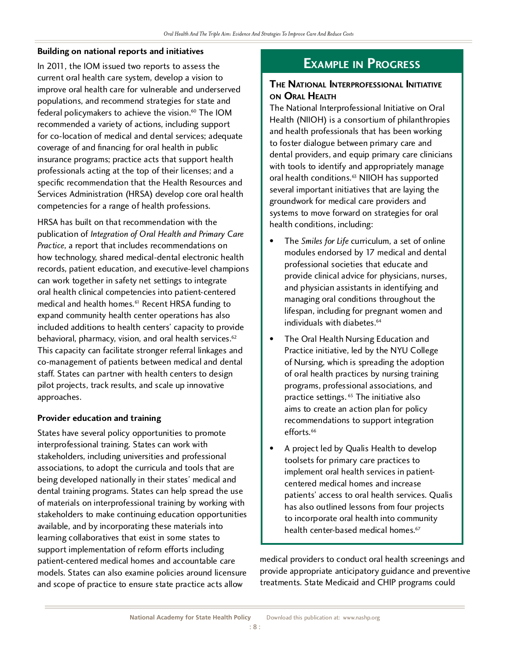### **Building on national reports and initiatives**

In 2011, the IOM issued two reports to assess the current oral health care system, develop a vision to improve oral health care for vulnerable and underserved populations, and recommend strategies for state and populations, and recommend strategies for state and federal policymakers to achieve the vision.<sup>60</sup> The IOM recommended a variety of actions, including support<br>for co-location of medical and dental services; adequate coverage of and financing for oral health in public insurance programs; practice acts that support health professionals acting at the top of their licenses; and a specific recommendation that the Health Resources and specific recommendation that the Health Resources and<br>C<sub>healt</sub>h Resources and The Health Resources and Services Administration (HRSA) develop core oral health competencies for a range of health professions.

HRSA has built on that recommendation with the<br>publication of Integration of Oral Health and Primary Care *Practice*, a report that includes recommendations on how technology, shared medical-dental electronic health records, patient education, and executive-level champions can work together in safety net settings to integrate oral health clinical competencies into patient-centered oral health clinical competencies into patient-centered medical and health homes.<sup>61</sup> Recent HRSA funding to expand community health center operations has also<br>included additions to health centers' capacity to provide included additions to health centers' capacity to provide behavioral, pharmacy, vision, and oral health services.62 This capacity can facilitate stronger referral linkages and staff. States can partner with health centers to design staff. States can partner with health centers to design pilot projects, track results, and scale up innovative approaches.

## **Provider education and training**

States have several policy opportunities to promote interprofessional training. States can work with stakeholders, including universities and professional associations, to adopt the curricula and tools that are being developed nationally in their states' medical and dental training programs. States can help spread the use of materials on interprofessional training by working with stakeholders to make continuing education opportunities available, and by incorporating these materials into learning collaboratives that exist in some states to support implementation of reform efforts including patient-centered medical homes and accountable care models. States can also examine policies around licensure models. States can also examine policies around licensure and scope of practice to ensure state practice acts allow

## **Example in Progress**

## **The National Interprofessional Initiative**

The National Interprofessional Initiative on Oral Health (NIIOH) is a consortium of philanthropies and health professionals that has been working to foster dialogue between primary care and dental providers, and equip primary care clinicians with tools to identify and appropriately manage with tools to identify and appropriately manage oral health conditions.63 NIIOH has supported several important initiatives that are laying the<br>groundwork for medical care providers and groundwork for medical care providers and systems to move forward on strategies for oral health conditions, including:

- The *Smiles for Life* curriculum, a set of online modules endorsed by 17 medical and dental professional societies that educate and provide clinical advice for physicians, nurses, and physician assistants in identifying and managing oral conditions throughout the managing oral conditions throughout the lifespan, including for pregnant women and individuals with diabetes.<sup>64</sup>
- $\bullet$ The Oral Health Nursing Education and<br>Practice initiative, led by the NYU College of Nursing, which is spreading the adoption of oral health practices by nursing training programs, professional associations, and programs, professional associations, and  $\mathsf{praclice}$  settings.  $^\circ$  The initiative also aims to create an action plan for policy recommendations to support integration efforts.<sup>66</sup>
- A project led by Qualis Health to develop toolsets for primary care practices to implement oral health services in patientcentered medical homes and increase patients' access to oral health services. Qualis has also outlined lessons from four projects to incorporate oral health into community to incorporate oral health into community health center-based medical homes.<sup>67</sup>

medical providers to conduct oral health screenings and<br>provide appropriate anticipatory guidance and preventive provide appropriate anticipatory guidance and preventive treatments. State Medicaid and CHIP programs could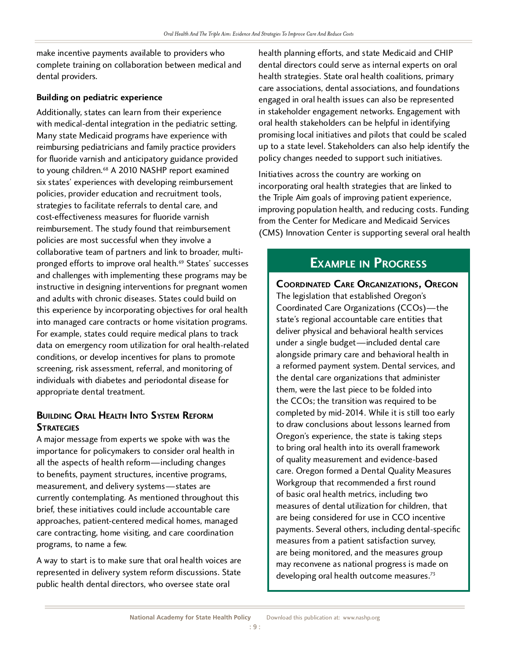make incentive payments available to providers who complete training on collaboration between medical and dental providers.

## **Building on pediatric experience**

Additionally, states can learn from their experience<br>with medical-dental integration in the pediatric setting. Many state Medicaid programs have experience with reimbursing pediatricians and family practice providers for fluoride varnish and anticipatory guidance provided for fluoride varnish and anticipatory guidance provided to young children.<sup>88</sup> A 2010 NASHP report examined six states' experiences with developing reimbursement strategies to facilitate referrals to dental care, and cost-effectiveness measures for fluoride varnish reimbursement. The study found that reimbursement policies are most successful when they involve a collaborative team of partners and link to broader, multicollaborative team of partners and link to broader, multipronged efforts to improve oral health.69 States' successes and challenges with implementing these programs may be instructive in designing interventions for pregnant women and adults with chronic diseases. States could build on this experience by incorporating objectives for oral health into managed care contracts or home visitation programs. For example, states could require medical plans to track For example, states could require medical plans to track data on emergency room utilization for oral health-related conditions, or develop incentives for plans to promote screening, risk assessment, referral, and monitoring of screening, risk assessment, referral, and monitoring of individuals with diabetes and periodontal disease for appropriate dental treatment.

# **Building Oral Health Into System Reform**

A major message from experts we spoke with was the importance for policymakers to consider oral health in importance for policymakers to consider oral health in all the aspects of health reform—including changes to benefits, payment structures, incentive programs, currently contemplating. As mentioned throughout this brief, these initiatives could include accountable care approaches, patient-centered medical homes, managed approaches, patient-centered medical homes, managed care contracting, home visiting, and care coordination programs, to name a few.

A way to start is to make sure that oral health voices are represented in delivery system reform discussions. State public health dental directors, who oversee state oral

health planning efforts, and state Medicaid and CHIP health strategies. State oral health coalitions, primary care associations, dental associations, and foundations engaged in oral health issues can also be represented in stakeholder engagement networks. Engagement with oral health stakeholders can be helpful in identifying promising local initiatives and pilots that could be scaled up to a state level. Stakeholders can also help identify the up to a state level. Stakeholders can also help identify the policy changes needed to support such initiatives.

Initiatives across the country are working on<br>incorporating oral health strategies that are linked to the Triple Aim goals of improving patient experience, improving population health, and reducing costs. Funding from the Center for Medicare and Medicaid Services. from the Center for Medicare and Medicaid Services (CMS) Innovation Center is supporting several oral health

**EXAMPLE IN PROGRESS**<br>**COORDINATED CARE ORGANIZATIONS, OREGON The legislation that established Oregon's** Coordinated Care Organizations (CCOs)—the state's regional accountable care entities that deliver physical and behavioral health services under a single budget-included dental care alongside primary care and behavioral health in alongside primary care and behavioral health in a reformed payment system. Dental services, and the dental care organizations that administer<br>them, were the last piece to be folded into the CCOs; the transition was required to be completed by mid-2014. While it is still too early to draw conclusions about lessons learned from Oregon's experience, the state is taking steps to bring oral health into its overall framework of quality measurement and evidence-based of quality measurement and evidence-based care. Oregon formed a Dental Quality Measures Workgroup that recommended a first round measures of dental utilization for children, that are being considered for use in CCO incentive payments. Several others, including dental-specific measures from a patient satisfaction survey, are being monitored, and the measures group may reconvene as national progress is made on may reconvene as national progress is made on developing oral health outcome measures.<sup>73</sup>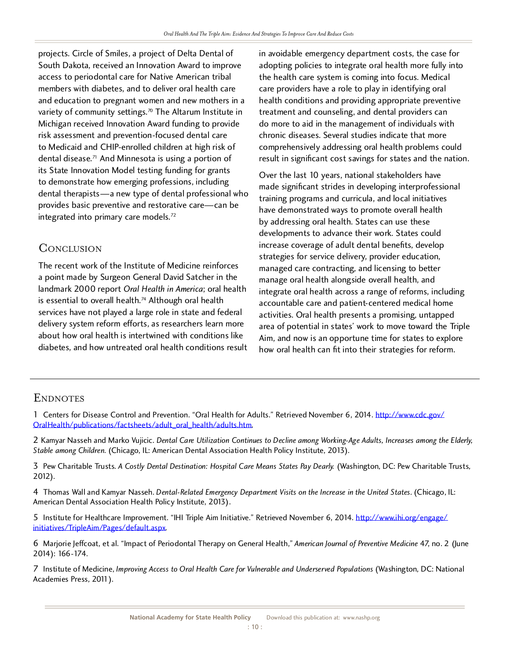projects. Circle of Smiles, a project of Delta Dental of access to periodontal care for Native American tribal members with diabetes, and to deliver oral health care and education to pregnant women and new mothers in a and education to pregnant women and new mothers in a variety of community settings.70 The Altarum Institute in Michigan received Innovation Award funding to provide risk assessment and prevention-focused dental care to Medicaid and CHIP-enrolled children at high risk of to medicald and CHIP-enrolled children at high risk of dental disease.71 And Minnesota is using a portion of its State Innovation Model testing funding for grants<br>to demonstrate how emerging professions, including dental therapists—a new type of dental professional who dental therapists—a new type of dental professional who provides basic preventive and restorative care—can be integrated into primary care models.<sup>72</sup>

## Conclusion

The recent work of the Institute of Medicine reinforces<br>a point made by Surgeon General David Satcher in the landmark 2000 report Oral Health in America; oral health landmark 2000 report *Oral Health in America*; oral health is essential to overall health.74 Although oral health services have not played a large role in state and federal<br>delivery system reform efforts, as researchers learn more about how oral health is intertwined with conditions like about how oral health is intertwined with conditions like diabetes, and how untreated oral health conditions result in avoidable emergency department costs, the case for adopting policies to integrate oral health more fully into the health care system is coming into focus. Medical care providers have a role to play in identifying oral health conditions and providing appropriate preventive treatment and counseling, and dental providers can do more to aid in the management of individuals with chronic diseases. Several studies indicate that more comprehensively addressing oral health problems could comprehensively addressing oral health problems could result in significant cost savings for states and the nation.

Over the last 10 years, national stakeholders have<br>made significant strides in developing interprofessional training programs and curricula, and local initiatives have demonstrated ways to promote overall health by addressing oral health. States can use these developments to advance their work. States could increase coverage of adult dental benefits, develop strategies for service delivery, provider education, managed care contracting, and licensing to better manage oral health alongside overall health, and integrate oral health across a range of reforms, including accountable care and patient-centered medical home activities. Oral health presents a promising, untapped area of potential in states' work to move toward the Triple Aim, and now is an opportune time for states to explore Aim, and now is an opportune time for states to explore how oral health can fit into their strategies for reform.

## **ENDNOTES**

1 Centers for Disease Control and Prevention. "Oral Health for Adults." Retrieved November 6, 2014. [http://www.cdc.gov/](http://www.cdc.gov/OralHealth/publications/factsheets/adult_oral_health/adults.htm)<br>OralHealth/oublications/factsbeets/adult\_eral\_bealth/adults.htm [OralHealth/publications/factsheets/adult\\_oral\\_health/adults.htm.](http://www.cdc.gov/OralHealth/publications/factsheets/adult_oral_health/adults.htm)

2 Kamyar Nasseh and Marko Vujicic. *Dental Care Utilization Continues to Decline among Working-Age Adults, Increases among the Elderly, Stable among Children*. (Chicago, IL: American Dental Association Health Policy Institute, 2013).

3 Pew Charitable Trusts. *A Costly Dental Destination: Hospital Care Means States Pay Dearly.* (Washington, DC: Pew Charitable Trusts, 2012).

4 Thomas Wall and Kamyar Nasseh. *Dental-Related Emergency Department Visits on the Increase in the United States*. (Chicago, IL: American Dental Association Health Policy Institute, 2013).

5 Institute for Healthcare Improvement. "IHI Triple Aim Initiative." Retrieved November 6, 2014. [http://www.ihi.org/engage/](http://www.ihi.org/engage/initiatives/TripleAim/Pages/default.aspx) initiatives/TripleAim/Pages/default.aspx.

[6 Marjorie Jeffcoat, et al. "Impact of Per](http://www.ihi.org/engage/initiatives/TripleAim/Pages/default.aspx)iodontal Therapy on General Health," *American Journal of Preventive Medicine* 47, no. 2 (June 2014): 166-174.

7 Institute of Medicine, *Improving Access to Oral Health Care for Vulnerable and Underserved Populations* (Washington, DC: National Academies Press, 2011).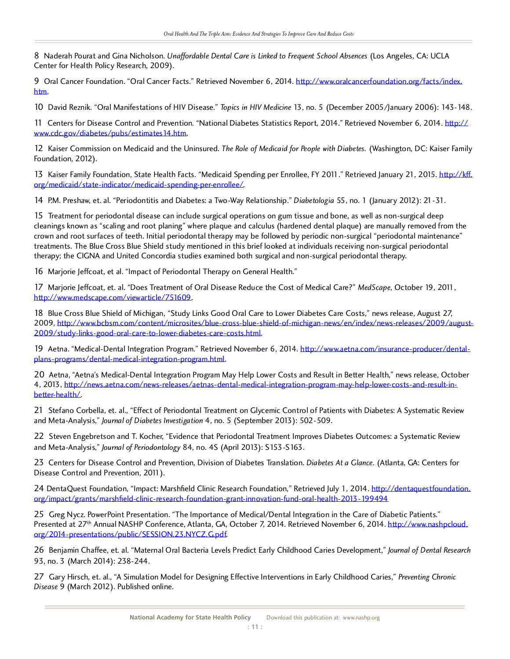8 Naderah Pourat and Gina Nicholson. *Unaffordable Dental Care is Linked to Frequent School Absences* (Los Angeles, CA: UCLA Center for Health Policy Research, 2009).

9 Oral Cancer Foundation. "Oral Cancer Facts." Retrieved November 6, 2014. [http://www.oralcancerfoundation.org/facts/index.](http://www.oralcancerfoundation.org/facts/index.htm) htm.

[10](http://www.oralcancerfoundation.org/facts/index.htm) David Reznik. "Oral Manifestations of HIV Disease." *Topics in HIV Medicine* 13, no. 5 (December 2005/January 2006): 143-148.

11 Centers for Disease Control and Prevention. "National Diabetes Statistics Report, 2014." Retrieved November 6, 2014. [http://](http://www.cdc.gov/diabetes/pubs/estimates14.htm) www.cdc.gov/diabetes/pubs/estimates14.htm.

[12 Kaiser Commission on Medicaid and the U](http://www.cdc.gov/diabetes/pubs/estimates14.htm)ninsured. *The Role of Medicaid for People with Diabetes.* (Washington, DC: Kaiser Family Foundation, 2012).

13 Kaiser Family Foundation, State Health Facts. "Medicaid Spending per Enrollee, FY 2011." Retrieved January 21, 2015. [http://kff.](http://kff.org/medicaid/state-indicator/medicaid-spending-per-enrollee/) org/medicaid/state-indicator/medicaid-spending-per-enrollee/.

[14 P.M. Preshaw, et. al. "Periodontitis and Diabetes: a Two-Way](http://kff.org/medicaid/state-indicator/medicaid-spending-per-enrollee/) Relationship." *Diabetologia* 55, no. 1 (January 2012): 21-31.

15 Treatment for periodontal disease can include surgical operations on gum tissue and bone, as well as non-surgical deep crown and root surfaces of teeth. Initial periodontal therapy may be followed by periodic non-surgical "periodontal maintenance" treatments. The Blue Cross Blue Shield study mentioned in this brief looked at individuals receiving non-surgical periodontal treatments. The Blue Cross Blue Shield Concerting mentioned in this brief looked at individuals receiving non-surgical periodontal thermal periodontal receiving non-surgical periodontal theory. therapy; the CIGNA and United Concordia studies examined both surgical and non-surgical periodontal therapy.

16 Marjorie Jeffcoat, et al. "Impact of Periodontal Therapy on General Health."

17 Marjorie Jeffcoat, et. al. "Does Treatment of Oral Disease Reduce the Cost of Medical Care?" *MedScape*, October 19, 2011, http://www.medscape.com/viewarticle/751609.

[18 Blue Cross Blue Shield of Michigan, "Study](http://www.medscape.com/viewarticle/751609) Links Good Oral Care to Lower Diabetes Care Costs," news release, August 27,<br>2009, http://www.bcbsm.com/content/microsites/blue-cross-blue-shield-of-michigan-news/en/index/news 2009, http://www.bcbsm.com/content/microsites/blue-cross-blue-shield-of-michigan-news/en/index/news-releases/2009/august-2009/study-links-good-oral-care-to-lower-diabetes-care-costs.html.

[19 Aetna. "Medical-Dental Integration Program." Retrieved November 6, 2014. http://www.aetna.com/insurance-producer/dental](http://www.bcbsm.com/content/microsites/blue-cross-blue-shield-of-michigan-news/en/index/news-releases/2009/august-2009/study-links-good-oral-care-to-lower-diabetes-care-costs.html)plans-programs/dental-medical-integration-program.html.

[20 Aetna, "Aetna's Medical-Dental Integration Program M](http://www.aetna.com/insurance-producer/dental-plans-programs/dental-medical-integration-program.html)ay Help Lower Costs [and Result in Better Health," news release, October](http://www.aetna.com/insurance-producer/dental-plans-programs/dental-medical-integration-program.html)  4, 2013, http://news.aetna.com/news-releases/aetnas-dental-medical-integration-program-may-help-lower-costs-and-result-inbetter-health/.

[21 Stefano Corbella, et. al., "Effect of Periodontal Treatment on Glycemic Control of Patients with Diabetes: A Systematic Revie](http://news.aetna.com/news-releases/aetnas-dental-medical-integration-program-may-help-lower-costs-and-result-in-better-health/)w and Meta-Analysis," *Journal of Diabetes Investigation* 4, no. 5 (September 2013): 502-509.

22 Steven Engebretson and T. Kocher, "Evidence that Periodontal Treatment Improves Diabetes Outcomes: a Systematic Review and Meta-Analysis," *Journal of Periodontology* 84, no. 4S (April 2013): S153-S163.

23 Centers for Disease Control and Prevention, Division of Diabetes Translation. *Diabetes At a Glance.* (Atlanta, GA: Centers for Disease Control and Prevention, 2011).

24 DentaQuest Foundation, "Impact: Marshfield Clinic Research Foundation," Retrieved July 1, 2014. [http://dentaquestfoundation.](http://dentaquestfoundation.org/impact/grants/marshfield-clinic-research-foundation-grant-innovation-fund-oral-health-2013-199494) org/impact/grants/marshfield-clinic-research-foundation-grant-innovation-fund-oral-health-2013-199494

25 Greg Nycz. FowerFoint Presentation. "The Importance of Medical/Dental Integration in the Care of Diabetic Patients."<br>Presented at 27th Annual NASHP Conference, Atlanta, CA, October 7, 2014, Petrioved November 6, 2014, h Presented at 27th Annual NASHP Conference, Atlanta, GA, October 7, 2014. Retrieved November 6, 2014. <u>http://www.nashpcloud.</u><br>exc/2014.presentations/public/SESSION.27 NVC7.C.pdf. org/2014-presentations/public/SESSION.23.NYCZ.G.pdf.

[26 Benjamin Chaffee, et. al. "Maternal Oral Bacteria Level](http://www.nashpcloud.org/2014-presentations/public/SESSION.23.NYCZ.G.pdf)s Predict Early Childhood Caries Development," *Journal of Dental Research*  93, no. 3 (March 2014): 238-244.

27 Gary Hirsch, et. al., "A Simulation Model for Designing Effective Interventions in Early Childhood Caries," *Preventing Chronic Disease* 9 (March 2012). Published online.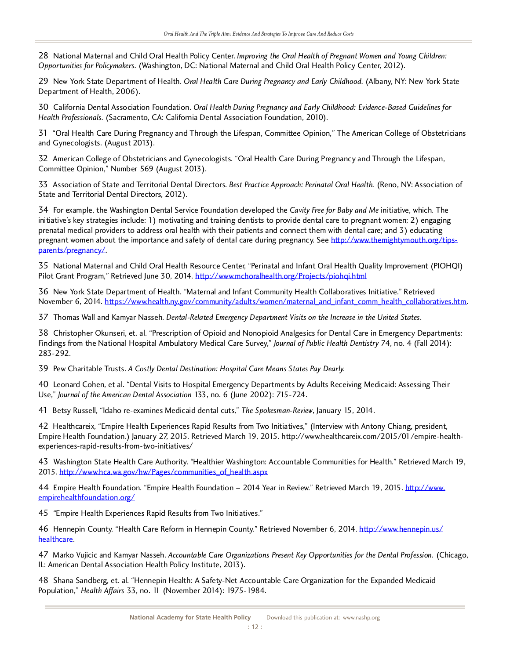28 National Maternal and Child Oral Health Policy Center. *Improving the Oral Health of Pregnant Women and Young Children: Opportunities for Policymakers.* (Washington, DC: National Maternal and Child Oral Health Policy Center, 2012).

29 New York State Department of Health. *Oral Health Care During Pregnancy and Early Childhood.* (Albany, NY: New York State Department of Health, 2006).

30 California Dental Association Foundation. *Oral Health During Pregnancy and Early Childhood: Evidence-Based Guidelines for Health Professionals.* (Sacramento, CA: California Dental Association Foundation, 2010).

31 "Oral Health Care During Pregnancy and Through the Lifespan, Committee Opinion," The American College of Obstetricians and Gynecologists. (August 2013).

32 American College of Obstetricians and Gynecologists. "Oral Health Care During Pregnancy and Through the Lifespan, Committee Opinion," Number 569 (August 2013).

33 Association of State and Territorial Dental Directors. *Best Practice Approach: Perinatal Oral Health.* (Reno, NV: Association of State and Territorial Dental Directors, 2012).

34 For example, the Washington Dental Service Foundation developed the *Cavity Free for Baby and Me* initiative, which. The prenatal medical providers to address oral health with their patients and connect them with dental care; and 3) educating prenatal medical providers to address oral health with their patients and connect them with dental care; and 3) educating pregnant women about the importance and safety of dental care during pregnancy. See http://www.themightymouth.org/tipsparents/pregnancy/.

[35 National Matern](http://www.themightymouth.org/tips-parents/pregnancy/)al and Child Oral Health Resource Center, "Perinatal and Infant Ora[l Health Quality Improvement \(PIOHQ](http://www.themightymouth.org/tips-parents/pregnancy/)I) Pilot Grant Program," Retrieved June 30, 2014. http://www.mchoralhealth.org/Projects/piohqi.html

36 New York State Department of Health. "M[aternal and Infant Community Health Collaboratives](http://www.mchoralhealth.org/Projects/piohqi.html) Initiative." Retrieved November 6, 2014. [https://www.health.ny.gov/community/adults/women/maternal\\_and\\_infant\\_comm\\_health\\_collaboratives.htm](https://www.health.ny.gov/community/adults/women/maternal_and_infant_comm_health_collaboratives.htm).

37 Thomas Wall and Kamyar Nasseh. *Dental-Related Emergency Department Visits on the Increase in the United States*.

38 Christopher Okunseri, et. al. "Prescription of Opioid and Nonopioid Analgesics for Dental Care in Emergency Departments: Findings from the National Hospital Ambulatory Medical Care Survey," *Journal of Public Health Dentistry* 74, no. 4 (Fall 2014): 283-292.

39 Pew Charitable Trusts. *A Costly Dental Destination: Hospital Care Means States Pay Dearly.*

40 Leonard Cohen, et al. "Dental Visits to Hospital Emergency Departments by Adults Receiving Medicaid: Assessing Their Use," *Journal of the American Dental Association* 133, no. 6 (June 2002): 715-724.

41 Betsy Russell, "Idaho re-examines Medicaid dental cuts," *The Spokesman-Review*, January 15, 2014.

42 Treatthcareix, Empire Health Experiences Rapid Results from Two Initiatives," (Interview with Antony Chiang, president,<br>Empire Health Equadation ) January 27 2015, Petrioved March 10, 2015, http://www.healthcareiv.com/2 Empire Health Foundation.) January 27, 2015. Retrieved March 19, 2015. http://www.healthcareix.com/2015/01/empire-healthexperiences-rapid-results-from-two-initiatives/

43 Washington State Health Care Authority. "Healthier Washington: Accountable Communities for Health." Retrieved March 19, 2015. http://www.hca.wa.gov/hw/Pages/communities\_of\_health.aspx

44 E[mpire Health Foundation. "Empire Health Foundation – 2014 Ye](http://www.hca.wa.gov/hw/Pages/communities_of_health.aspx)ar in Review." Retrieved March 19, 2015. [http://www.](http://www.empirehealthfoundation.org/) empirehealthfoundation.org/

[45 "Empire Health Experienc](http://www.empirehealthfoundation.org/)es Rapid Results from Two Initiatives."

46 Hennepin County. "Health Care Reform in Hennepin County." Retrieved November 6, 2014. [http://www.hennepin.us/](http://www.hennepin.us/healthcare) healthcare.

[47 Marko](http://www.hennepin.us/healthcare) Vujicic and Kamyar Nasseh. *Accountable Care Organizations Present Key Opportunities for the Dental Profession.* (Chicago, IL: American Dental Association Health Policy Institute, 2013).

48 Shana Sandberg, et. al. "Hennepin Health: A Safety-Net Accountable Care Organization for the Expanded Medicaid Population," *Health Affairs* 33, no. 11 (November 2014): 1975-1984.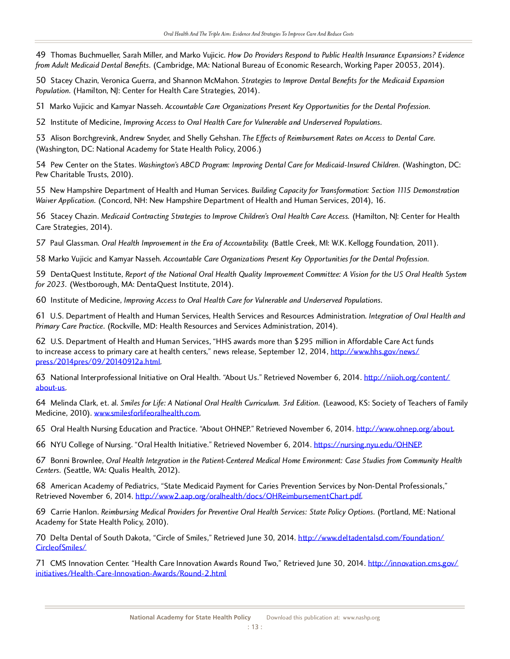49 Thomas Buchmueller, Sarah Miller, and Marko Vujicic. *How Do Providers Respond to Public Health Insurance Expansions? Evidence from Adult Medicaid Dental Benefits.* (Cambridge, MA: National Bureau of Economic Research, Working Paper 20053, 2014).

50 Stacey Chazin, Veronica Guerra, and Shannon McMahon. *Strategies to Improve Dental Benefits for the Medicaid Expansion Population.* (Hamilton, NJ: Center for Health Care Strategies, 2014).

51 Marko Vujicic and Kamyar Nasseh. *Accountable Care Organizations Present Key Opportunities for the Dental Profession.*

52 Institute of Medicine, *Improving Access to Oral Health Care for Vulnerable and Underserved Populations.*

53 Alison Borchgrevink, Andrew Snyder, and Shelly Gehshan. *The Effects of Reimbursement Rates on Access to Dental Care*. (Washington, DC: National Academy for State Health Policy, 2006.)

54 Pew Center on the States. Washington's ABCD Program: Improving Dental Care for Medicaid-Insured Children. (Washington, DC: Pew Charitable Trusts, 2010).

55 New Hampshire Department of Health and Human Services. *Building Capacity for Transformation: Section 1115 Demonstration Waiver Application.* (Concord, NH: New Hampshire Department of Health and Human Services, 2014), 16.

56 Stacey Chazin. *Medicaid Contracting Strategies to Improve Children's Oral Health Care Access.* (Hamilton, NJ: Center for Health Care Strategies, 2014).

57 Paul Glassman. Oral Health Improvement in the Era of Accountability. (Battle Creek, MI: W.K. Kellogg Foundation, 2011).

58 Marko Vujicic and Kamyar Nasseh. *Accountable Care Organizations Present Key Opportunities for the Dental Profession.*

59 DentaQuest Institute, *Report of the National Oral Health Quality Improvement Committee: A Vision for the US Oral Health System for 2023.* (Westborough, MA: DentaQuest Institute, 2014).

60 Institute of Medicine, *Improving Access to Oral Health Care for Vulnerable and Underserved Populations.*

61 U.S. Department of Health and Human Services, Health Services and Resources Administration. *Integration of Oral Health and Primary Care Practice.* (Rockville, MD: Health Resources and Services Administration, 2014).

62 U.S. Department of Health and Human Services, "This awards more than \$255 million in Affordable Care Act funds<br>to increase access to primary care at boalth centers" news release. Centember 12, 2014, http://www.bbs.gov/n to increase access to primary care at health centers," news release, September 12, 2014, http://www.hhs.gov/news/ press/2014pres/09/20140912a.html.

[63 National Interprofessional Initiati](http://www.hhs.gov/news/press/2014pres/09/20140912a.html)ve on Oral Health. "About Us." Retrieved Novembe[r 6, 2014. http://niioh.org](http://www.hhs.gov/news/press/2014pres/09/20140912a.html)[/content/](http://niioh.org/content/about-us) about-us.

[64 Melin](http://niioh.org/content/about-us)da Clark, et. al. *Smiles for Life: A National Oral Health Curriculum. 3rd Edition.* (Leawood, KS: Society of Teachers of Family Medicine, 2010). www.smilesforlifeoralhealth.com.

65 Oral Health [Nursing Education and Practice.](http://www.smilesforlifeoralhealth.com) "About OHNEP." Retrieved November 6, 2014. <http://www.ohnep.org/about>.

66 NYU College of Nursing. "Oral Health Initiative." Retrieved November 6, 2014.<https://nursing.nyu.edu/OHNEP>.

67 Bonni Brownlee, *Oral Health Integration in the Patient-Centered Medical Home Environment: Case Studies from Community Health Centers.* (Seattle, WA: Qualis Health, 2012).

66 American Academy of Pediatrics, "State Medicald Payment for Carles Prevention Services by Non-Dental Professionals,"<br>Petriouad November 6, 2014, http://www.2.22p.erg/emlbealth/decc/OUDeimbureementChart.ndf Retrieved November 6, 2014. [http://www2.aap.org/oralhealth/docs/OHReimbursementChart.pdf.](http://www2.aap.org/oralhealth/docs/OHReimbursementChart.pdf)

69 Carrie Hanlon. *Reimbursing Medical Providers for Preventive Oral Health Services: State Policy Options.* (Portland, ME: National Academy for State Health Policy, 2010).

70 Delta Dental of South Dakota, "Circle of Smiles," Retrieved June 30, 2014. [http://www.deltadentalsd.com/Foundation/](http://www.deltadentalsd.com/Foundation/CircleofSmiles/) CircleofSmiles/

[71 CMS Innov](http://www.deltadentalsd.com/Foundation/CircleofSmiles/)ation Center. "Health Care Innovation Awards Round Two," Retrieved June 30, 2014. [http://innovation.cms.gov/](http://innovation.cms.gov/initiatives/Health-Care-Innovation-Awards/Round-2.html) [initiatives/Health-Care-Innovation-Awards/Round-2.html](http://innovation.cms.gov/initiatives/Health-Care-Innovation-Awards/Round-2.html)